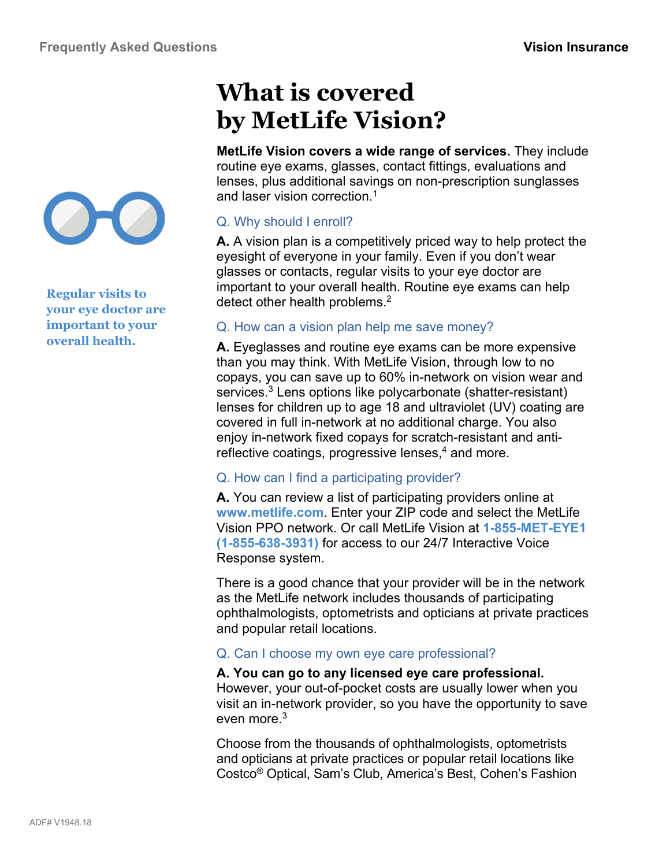

**Regular visits to your eye doctor are important to your overall health.** 

# **What is covered by MetLife Vision?**

**MetLife Vision covers a wide range of services.** They include routine eye exams, glasses, contact fittings, evaluations and lenses, plus additional savings on non-prescription sunglasses and laser vision correction.<sup>1</sup>

## Q. Why should I enroll?

**A.** A vision plan is a competitively priced way to help protect the eyesight of everyone in your family. Even if you don't wear glasses or contacts, regular visits to your eye doctor are important to your overall health. Routine eye exams can help detect other health problems.<sup>2</sup>

## Q. How can a vision plan help me save money?

**A.** Eyeglasses and routine eye exams can be more expensive than you may think. With MetLife Vision, through low to no copays, you can save up to 60% in-network on vision wear and services.<sup>3</sup> Lens options like polycarbonate (shatter-resistant) lenses for children up to age 18 and ultraviolet (UV) coating are covered in full in-network at no additional charge. You also enjoy in-network fixed copays for scratch-resistant and antireflective coatings, progressive lenses,<sup>4</sup> and more.

## Q. How can I find a participating provider?

**A.** You can review a list of participating providers online at **www.metlife.com**. Enter your ZIP code and select the MetLife Vision PPO network. Or call MetLife Vision at **1-855-MET-EYE1 (1-855-638-3931)** for access to our 24/7 Interactive Voice Response system.

There is a good chance that your provider will be in the network as the MetLife network includes thousands of participating ophthalmologists, optometrists and opticians at private practices and popular retail locations.

## Q. Can I choose my own eye care professional?

#### **A. You can go to any licensed eye care professional.**  However, your out-of-pocket costs are usually lower when you visit an in-network provider, so you have the opportunity to save even more.<sup>3</sup>

Choose from the thousands of ophthalmologists, optometrists and opticians at private practices or popular retail locations like Costco® Optical, Sam's Club, America's Best, Cohen's Fashion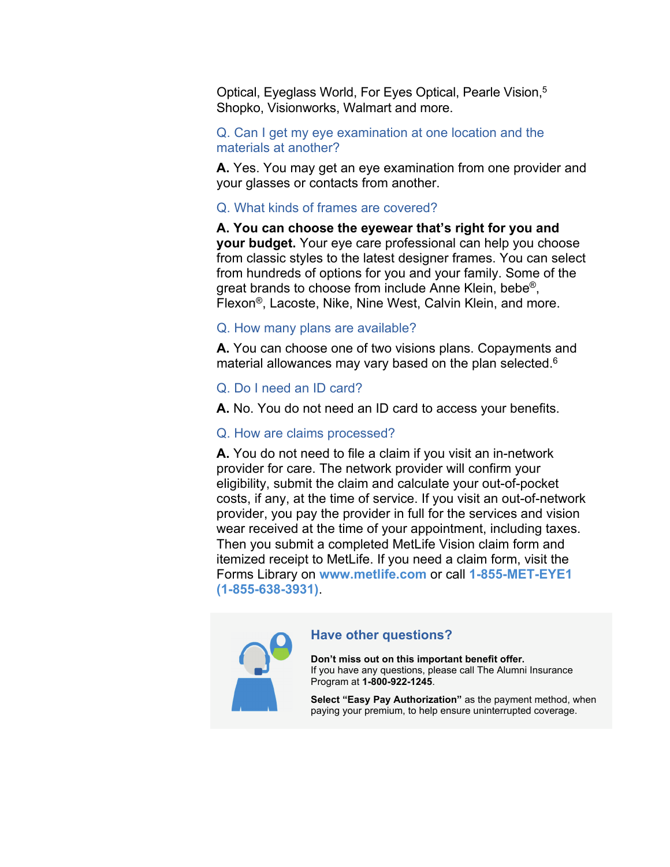Optical, Eyeglass World, For Eyes Optical, Pearle Vision,5 Shopko, Visionworks, Walmart and more.

#### Q. Can I get my eye examination at one location and the materials at another?

**A.** Yes. You may get an eye examination from one provider and your glasses or contacts from another.

#### Q. What kinds of frames are covered?

**A. You can choose the eyewear that's right for you and your budget.** Your eye care professional can help you choose from classic styles to the latest designer frames. You can select from hundreds of options for you and your family. Some of the great brands to choose from include Anne Klein, bebe®, Flexon®, Lacoste, Nike, Nine West, Calvin Klein, and more.

#### Q. How many plans are available?

**A.** You can choose one of two visions plans. Copayments and material allowances may vary based on the plan selected.<sup>6</sup>

#### Q. Do I need an ID card?

**A.** No. You do not need an ID card to access your benefits.

#### Q. How are claims processed?

**A.** You do not need to file a claim if you visit an in-network provider for care. The network provider will confirm your eligibility, submit the claim and calculate your out-of-pocket costs, if any, at the time of service. If you visit an out-of-network provider, you pay the provider in full for the services and vision wear received at the time of your appointment, including taxes. Then you submit a completed MetLife Vision claim form and itemized receipt to MetLife. If you need a claim form, visit the Forms Library on **www.metlife.com** or call **1-855-MET-EYE1 (1-855-638-3931)**.



#### **Have other questions?**

**Don't miss out on this important benefit offer.**  If you have any questions, please call The Alumni Insurance Program at **1-800-922-1245**.

**Select "Easy Pay Authorization"** as the payment method, when paying your premium, to help ensure uninterrupted coverage.